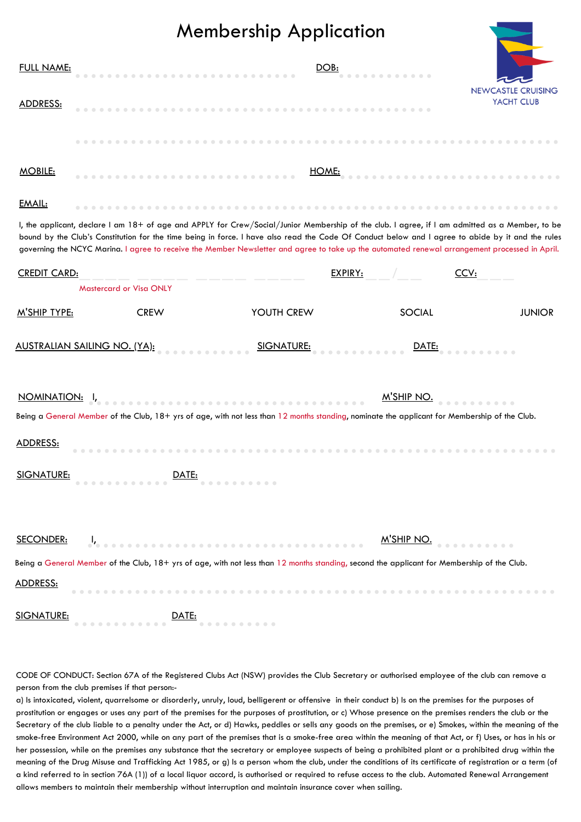## Membership Application

| <u>FULL NAME:</u><br><b>ADDRESS:</b>                                                                                                                                                                                                                                                                                                                                                                                                                   |                                |  |  |  |  |  |  |  |  | <u>DOB:</u> |         |  |  |  |  |      |  | YACHT CLUB |  | <b>NEWCASTLE CRUISING</b> |  |
|--------------------------------------------------------------------------------------------------------------------------------------------------------------------------------------------------------------------------------------------------------------------------------------------------------------------------------------------------------------------------------------------------------------------------------------------------------|--------------------------------|--|--|--|--|--|--|--|--|-------------|---------|--|--|--|--|------|--|------------|--|---------------------------|--|
|                                                                                                                                                                                                                                                                                                                                                                                                                                                        |                                |  |  |  |  |  |  |  |  |             |         |  |  |  |  |      |  |            |  |                           |  |
|                                                                                                                                                                                                                                                                                                                                                                                                                                                        |                                |  |  |  |  |  |  |  |  |             |         |  |  |  |  |      |  |            |  |                           |  |
| <b>MOBILE:</b>                                                                                                                                                                                                                                                                                                                                                                                                                                         |                                |  |  |  |  |  |  |  |  | HOME:       |         |  |  |  |  |      |  |            |  |                           |  |
| EMAIL:                                                                                                                                                                                                                                                                                                                                                                                                                                                 |                                |  |  |  |  |  |  |  |  |             |         |  |  |  |  |      |  |            |  |                           |  |
| I, the applicant, declare I am 18+ of age and APPLY for Crew/Social/Junior Membership of the club. I agree, if I am admitted as a Member, to be<br>bound by the Club's Constitution for the time being in force. I have also read the Code Of Conduct below and I agree to abide by it and the rules<br>governing the NCYC Marina. I agree to receive the Member Newsletter and agree to take up the automated renewal arrangement processed in April. |                                |  |  |  |  |  |  |  |  |             |         |  |  |  |  |      |  |            |  |                           |  |
| <b>CREDIT CARD:</b>                                                                                                                                                                                                                                                                                                                                                                                                                                    |                                |  |  |  |  |  |  |  |  |             | EXPIRY: |  |  |  |  | CCV: |  |            |  |                           |  |
|                                                                                                                                                                                                                                                                                                                                                                                                                                                        | <b>Mastercard or Visa ONLY</b> |  |  |  |  |  |  |  |  |             |         |  |  |  |  |      |  |            |  |                           |  |

| M'SHIP TYPE:      | <b>CREW</b>             | YOUTH CREW                                                                                                                                    | <b>SOCIAL</b> | <b>JUNIOR</b> |
|-------------------|-------------------------|-----------------------------------------------------------------------------------------------------------------------------------------------|---------------|---------------|
|                   |                         | <u>AUSTRALIAN SAILING NO. (YA): Sand SIGNATURE: Sand Alexander DATE: Sand Alexander S</u>                                                     |               |               |
|                   |                         | Being a General Member of the Club, 18+ yrs of age, with not less than 12 months standing, nominate the applicant for Membership of the Club. | M'SHIP NO.    |               |
| <b>ADDRESS:</b>   |                         |                                                                                                                                               |               |               |
|                   | SIGNATURE: <u>DATE:</u> |                                                                                                                                               |               |               |
| <b>SECONDER:</b>  |                         |                                                                                                                                               | M'SHIP NO.    |               |
|                   |                         | Being a General Member of the Club, 18+ yrs of age, with not less than 12 months standing, second the applicant for Membership of the Club.   |               |               |
| <b>ADDRESS:</b>   |                         |                                                                                                                                               |               |               |
| <b>SIGNATURE:</b> | DATE:                   |                                                                                                                                               |               |               |

CODE OF CONDUCT: Section 67A of the Registered Clubs Act (NSW) provides the Club Secretary or authorised employee of the club can remove a person from the club premises if that person:-

a) Is intoxicated, violent, quarrelsome or disorderly, unruly, loud, belligerent or offensive in their conduct b) Is on the premises for the purposes of prostitution or engages or uses any part of the premises for the purposes of prostitution, or c) Whose presence on the premises renders the club or the Secretary of the club liable to a penalty under the Act, or d) Hawks, peddles or sells any goods on the premises, or e) Smokes, within the meaning of the smoke-free Environment Act 2000, while on any part of the premises that is a smoke-free area within the meaning of that Act, or f) Uses, or has in his or her possession, while on the premises any substance that the secretary or employee suspects of being a prohibited plant or a prohibited drug within the meaning of the Drug Misuse and Trafficking Act 1985, or g) Is a person whom the club, under the conditions of its certificate of registration or a term (of a kind referred to in section 76A (1)) of a local liquor accord, is authorised or required to refuse access to the club. Automated Renewal Arrangement allows members to maintain their membership without interruption and maintain insurance cover when sailing.